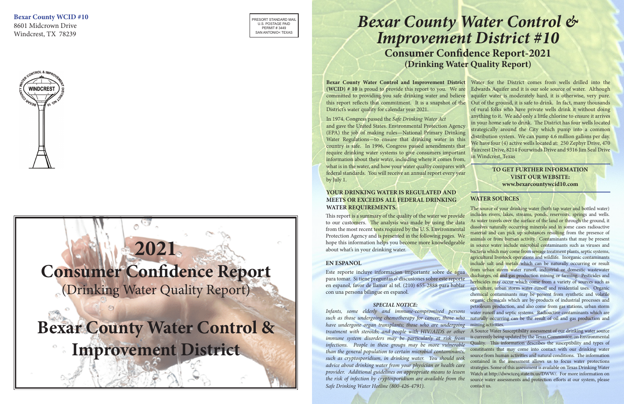PRESORT STANDARD MAIL U.S. POSTAGE PAID PERMIT # 3449 SAN ANTONIO< TEXAS

**Bexar County WCID #10** 8601 Midcrown Drive

Windcrest, TX 78239



# **2021 Consumer Confidence Report** (Drinking Water Quality Report) **Bexar County Water Control & Improvement District**

This report is a summary of the quality of the water we provide to our customers. The analysis was made by using the data from the most recent tests required by the U. S. Environmental Protection Agency and is presented in the following pages. We hope this information helps you become more knowledgeable about what's in your drinking water.

**Bexar County Water Control and Improvement District**  committed to providing you safe drinking water and believe this report reflects that commitment. It is a snapshot of the District's water quality for calendar year 2021. In 1974, Congress passed the *Safe Drinking Water Act*  and gave the United States. Environmental Protection Agency (EPA) the job of making rules—National Primary Drinking Water Regulations—to ensure that drinking water in this country is safe. In 1996, Congress passed amendments that require drinking water systems to give consumers important Water for the District comes from wells drilled into the Edwards Aquifer and it is our sole source of water. Although aquifer water is moderately hard, it is otherwise, very pure. Out of the ground, it is safe to drink. In fact, many thousands of rural folks who have private wells drink it without doing anything to it. We add only a little chlorine to ensure it arrives in your home safe to drink. The District has four wells located strategically around the City which pump into a common distribution system. We can pump 4.6 million gallons per day. We have four (4) active wells located at: 250 Zephyr Drive, 470 Faircrest Drive, 8214 Fourwinds Drive and 9316 Jim Seal Drive in Windcrest, Texas

#### **YOUR DRINKING WATER IS REGULATED AND MEETS OR EXCEEDS ALL FEDERAL DRINKING WATER REQUIREMENTS.**

### *Bexar County Water Control & Improvement District #10* **Consumer Confidence Report-2021 (Drinking Water Quality Report)**

#### **EN ESPANOL**

Este reporte incluye informacion importante sobre de agua para tomar. Si tiene preguntas o' discusiones sobre este reporte en espanol, favor de llamar al tel. (210) 655-2888 para hablar con una persona bilingue en espanol.

**(WCID) # 10** is proud to provide this report to you. We are information about their water, including where it comes from, what is in the water, and how your water quality compares with federal standards. You will receive an annual report every year by July 1. **TO GET FURTHER INFORMATION VISIT OUR WEBSITE:**

*Infants, some elderly and immune-compromised persons such as those undergoing chemotherapy for cancer; those who have undergone organ transplants; those who are undergoing treatment with steroids; and people with HIV/AIDS or other immune system disorders may be particularly at risk from infections. People in these groups may be more vulnerable than the general population to certain microbial contaminants, such as cryptosporidium, in drinking water. You should seek advice about drinking water from your physician or health care provider. Additional guidelines on appropriate means to lessen the risk of infection by cryptosporidium are available from the Safe Drinking Water Hotline (800-426-4791).*

#### *SPECIAL NOTICE:*

The source of your drinking water (both tap water and bottled water) includes rivers, lakes, streams, ponds, reservoirs, springs and wells. As water travels over the surface of the land or through the ground, it dissolves naturally occurring minerals and in some cases radioactive material and can pick up substances resulting from the presence of animals or from human activity. Contaminants that may be present in source water include microbial contaminants such as viruses and bacteria which may come from sewage treatment plants, septic systems, agricultural livestock operations and wildlife. Inorganic contaminants include salt and metals which can be naturally occurring or result from urban storm water runoff, industrial or domestic wastewater discharges, oil and gas production mining or farming. Pesticides and herbicides may occur which come from a variety of sources such as agriculture, urban storm water runoff and residential uses. Organic chemical contaminants may be present from synthetic and volatile organic chemicals which are by-products of industrial processes and petroleum production, and also come from gas stations, urban storm water runoff and septic systems. Radioactive contaminants which are naturally occurring can be the result of oil and gas production and mining activities.

A Source Water Susceptibility assessment of our drinking water source is currently being updated by the Texas Commission on Environmental Quality. This information describes the susceptibility and types of constituents that may come into contact with our drinking water source from human activities and natural conditions. The information contained in the assessment allows us to focus water protections strategies. Some of this assessment is available on Texas Drinking Water Watch at http://dww.tceq.state.tx.us/DWW/. For more information on source water assessments and protection efforts at our system, please contact us.

#### **WATER SOURCES**

## **www.bexarcountywcid10.com**